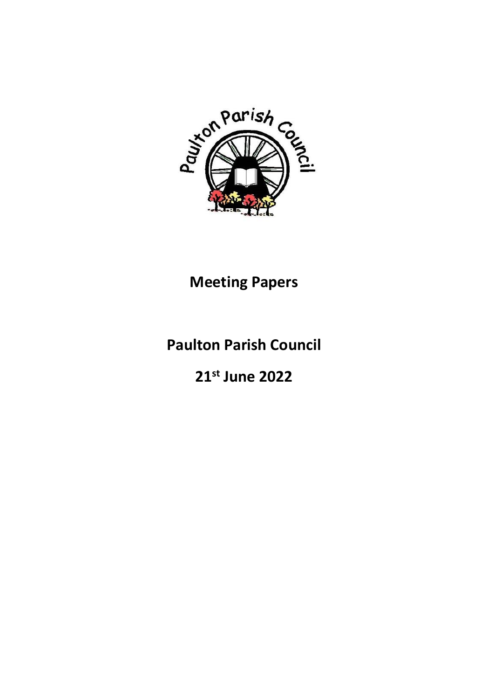

## **Meeting Papers**

# **Paulton Parish Council**

**21st June 2022**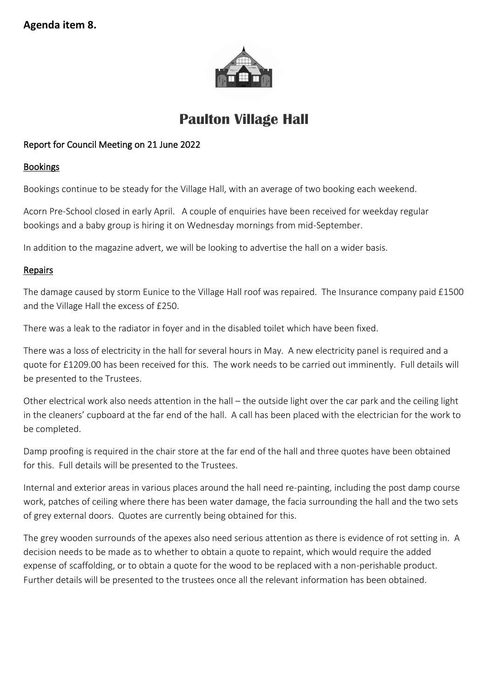

## **Paulton Village Hall**

### Report for Council Meeting on 21 June 2022

#### **Bookings**

Bookings continue to be steady for the Village Hall, with an average of two booking each weekend.

Acorn Pre-School closed in early April. A couple of enquiries have been received for weekday regular bookings and a baby group is hiring it on Wednesday mornings from mid-September.

In addition to the magazine advert, we will be looking to advertise the hall on a wider basis.

#### Repairs

The damage caused by storm Eunice to the Village Hall roof was repaired. The Insurance company paid £1500 and the Village Hall the excess of £250.

There was a leak to the radiator in foyer and in the disabled toilet which have been fixed.

There was a loss of electricity in the hall for several hours in May. A new electricity panel is required and a quote for £1209.00 has been received for this. The work needs to be carried out imminently. Full details will be presented to the Trustees.

Other electrical work also needs attention in the hall – the outside light over the car park and the ceiling light in the cleaners' cupboard at the far end of the hall. A call has been placed with the electrician for the work to be completed.

Damp proofing is required in the chair store at the far end of the hall and three quotes have been obtained for this. Full details will be presented to the Trustees.

Internal and exterior areas in various places around the hall need re-painting, including the post damp course work, patches of ceiling where there has been water damage, the facia surrounding the hall and the two sets of grey external doors. Quotes are currently being obtained for this.

The grey wooden surrounds of the apexes also need serious attention as there is evidence of rot setting in. A decision needs to be made as to whether to obtain a quote to repaint, which would require the added expense of scaffolding, or to obtain a quote for the wood to be replaced with a non-perishable product. Further details will be presented to the trustees once all the relevant information has been obtained.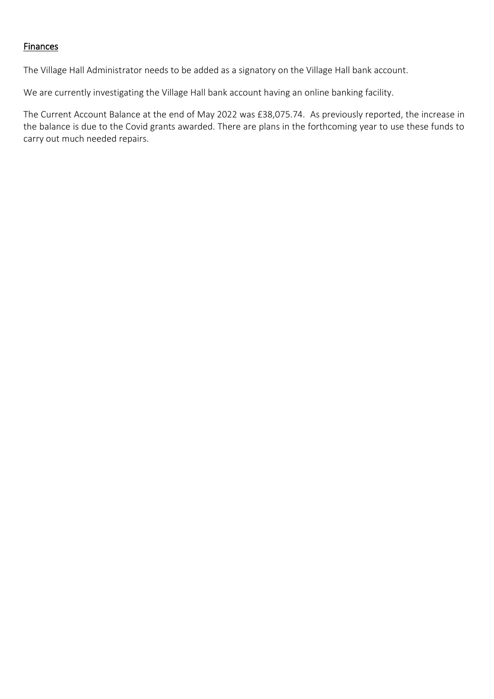#### Finances

The Village Hall Administrator needs to be added as a signatory on the Village Hall bank account.

We are currently investigating the Village Hall bank account having an online banking facility.

The Current Account Balance at the end of May 2022 was £38,075.74. As previously reported, the increase in the balance is due to the Covid grants awarded. There are plans in the forthcoming year to use these funds to carry out much needed repairs.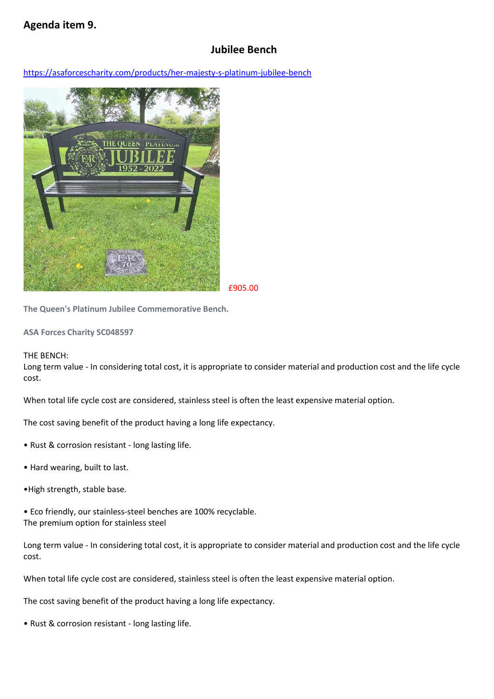## **Agenda item 9.**

## **Jubilee Bench**

<https://asaforcescharity.com/products/her-majesty-s-platinum-jubilee-bench>



£905.00

**The Queen's Platinum Jubilee Commemorative Bench.**

**ASA Forces Charity SC048597**

#### THE BENCH:

Long term value - In considering total cost, it is appropriate to consider material and production cost and the life cycle cost.

When total life cycle cost are considered, stainless steel is often the least expensive material option.

The cost saving benefit of the product having a long life expectancy.

- Rust & corrosion resistant long lasting life.
- Hard wearing, built to last.
- •High strength, stable base.

• Eco friendly, our stainless-steel benches are 100% recyclable. The premium option for stainless steel

Long term value - In considering total cost, it is appropriate to consider material and production cost and the life cycle cost.

When total life cycle cost are considered, stainless steel is often the least expensive material option.

The cost saving benefit of the product having a long life expectancy.

• Rust & corrosion resistant - long lasting life.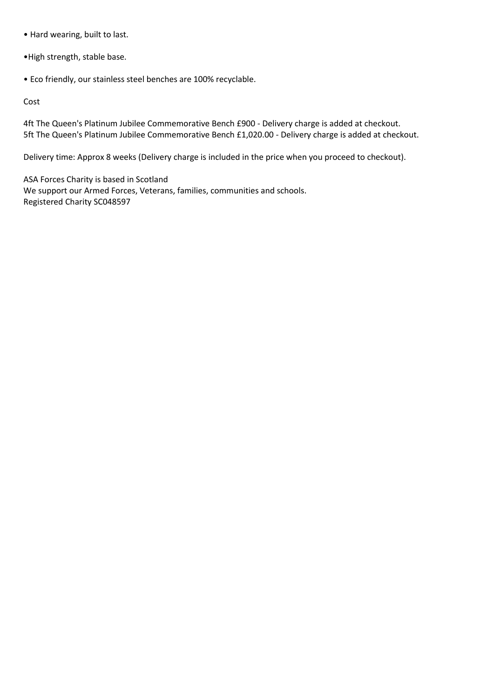- Hard wearing, built to last.
- •High strength, stable base.
- Eco friendly, our stainless steel benches are 100% recyclable.

Cost

4ft The Queen's Platinum Jubilee Commemorative Bench £900 - Delivery charge is added at checkout. 5ft The Queen's Platinum Jubilee Commemorative Bench £1,020.00 - Delivery charge is added at checkout.

Delivery time: Approx 8 weeks (Delivery charge is included in the price when you proceed to checkout).

ASA Forces Charity is based in Scotland We support our Armed Forces, Veterans, families, communities and schools. Registered Charity SC048597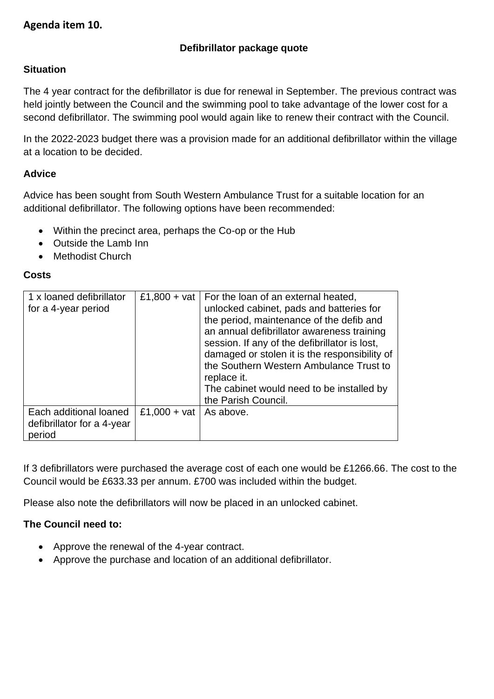## **Agenda item 10.**

### **Defibrillator package quote**

#### **Situation**

The 4 year contract for the defibrillator is due for renewal in September. The previous contract was held jointly between the Council and the swimming pool to take advantage of the lower cost for a second defibrillator. The swimming pool would again like to renew their contract with the Council.

In the 2022-2023 budget there was a provision made for an additional defibrillator within the village at a location to be decided.

#### **Advice**

Advice has been sought from South Western Ambulance Trust for a suitable location for an additional defibrillator. The following options have been recommended:

- Within the precinct area, perhaps the Co-op or the Hub
- Outside the Lamb Inn
- Methodist Church

#### **Costs**

| 1 x loaned defibrillator<br>for a 4-year period                |              | £1,800 + vat   For the loan of an external heated,<br>unlocked cabinet, pads and batteries for<br>the period, maintenance of the defib and<br>an annual defibrillator awareness training<br>session. If any of the defibrillator is lost,<br>damaged or stolen it is the responsibility of<br>the Southern Western Ambulance Trust to<br>replace it.<br>The cabinet would need to be installed by<br>the Parish Council. |
|----------------------------------------------------------------|--------------|--------------------------------------------------------------------------------------------------------------------------------------------------------------------------------------------------------------------------------------------------------------------------------------------------------------------------------------------------------------------------------------------------------------------------|
| Each additional loaned<br>defibrillator for a 4-year<br>period | £1,000 + vat | As above.                                                                                                                                                                                                                                                                                                                                                                                                                |

If 3 defibrillators were purchased the average cost of each one would be £1266.66. The cost to the Council would be £633.33 per annum. £700 was included within the budget.

Please also note the defibrillators will now be placed in an unlocked cabinet.

#### **The Council need to:**

- Approve the renewal of the 4-year contract.
- Approve the purchase and location of an additional defibrillator.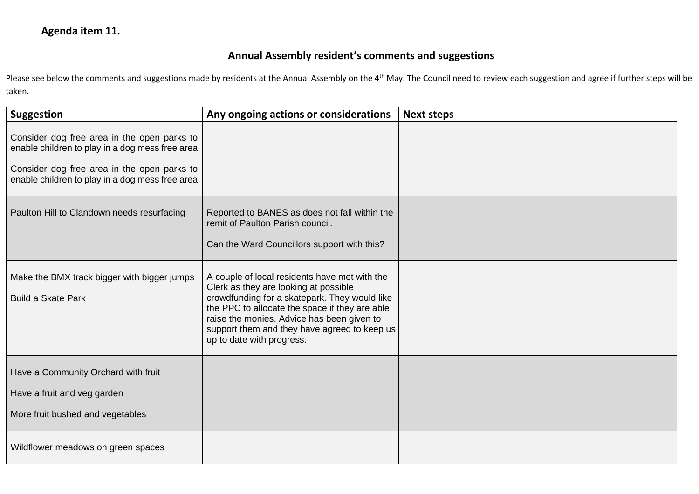## **Agenda item 11.**

## **Annual Assembly resident's comments and suggestions**

Please see below the comments and suggestions made by residents at the Annual Assembly on the 4<sup>th</sup> May. The Council need to review each suggestion and agree if further steps will be taken.

| <b>Suggestion</b>                                                                                                                                                                                | Any ongoing actions or considerations                                                                                                                                                                                                                                                                                | <b>Next steps</b> |
|--------------------------------------------------------------------------------------------------------------------------------------------------------------------------------------------------|----------------------------------------------------------------------------------------------------------------------------------------------------------------------------------------------------------------------------------------------------------------------------------------------------------------------|-------------------|
| Consider dog free area in the open parks to<br>enable children to play in a dog mess free area<br>Consider dog free area in the open parks to<br>enable children to play in a dog mess free area |                                                                                                                                                                                                                                                                                                                      |                   |
| Paulton Hill to Clandown needs resurfacing                                                                                                                                                       | Reported to BANES as does not fall within the<br>remit of Paulton Parish council.<br>Can the Ward Councillors support with this?                                                                                                                                                                                     |                   |
| Make the BMX track bigger with bigger jumps<br><b>Build a Skate Park</b>                                                                                                                         | A couple of local residents have met with the<br>Clerk as they are looking at possible<br>crowdfunding for a skatepark. They would like<br>the PPC to allocate the space if they are able<br>raise the monies. Advice has been given to<br>support them and they have agreed to keep us<br>up to date with progress. |                   |
| Have a Community Orchard with fruit<br>Have a fruit and veg garden<br>More fruit bushed and vegetables                                                                                           |                                                                                                                                                                                                                                                                                                                      |                   |
| Wildflower meadows on green spaces                                                                                                                                                               |                                                                                                                                                                                                                                                                                                                      |                   |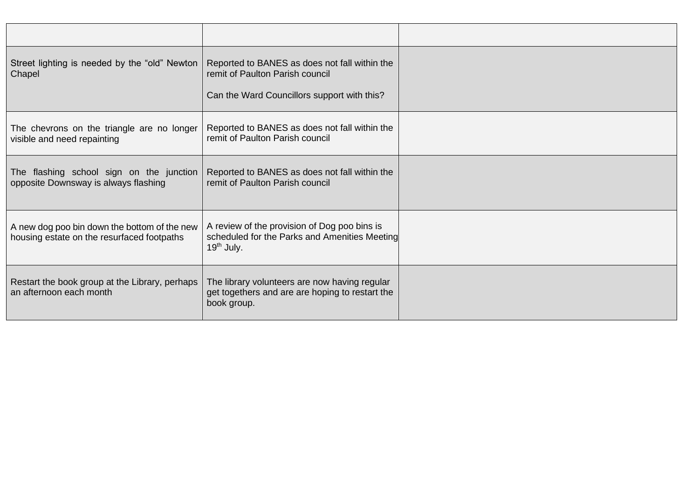| Street lighting is needed by the "old" Newton  <br>Chapel                                  | Reported to BANES as does not fall within the<br>remit of Paulton Parish council<br>Can the Ward Councillors support with this? |  |
|--------------------------------------------------------------------------------------------|---------------------------------------------------------------------------------------------------------------------------------|--|
| The chevrons on the triangle are no longer<br>visible and need repainting                  | Reported to BANES as does not fall within the<br>remit of Paulton Parish council                                                |  |
| The flashing school sign on the junction<br>opposite Downsway is always flashing           | Reported to BANES as does not fall within the<br>remit of Paulton Parish council                                                |  |
| A new dog poo bin down the bottom of the new<br>housing estate on the resurfaced footpaths | A review of the provision of Dog poo bins is<br>scheduled for the Parks and Amenities Meeting<br>$19th$ July.                   |  |
| Restart the book group at the Library, perhaps<br>an afternoon each month                  | The library volunteers are now having regular<br>get togethers and are are hoping to restart the<br>book group.                 |  |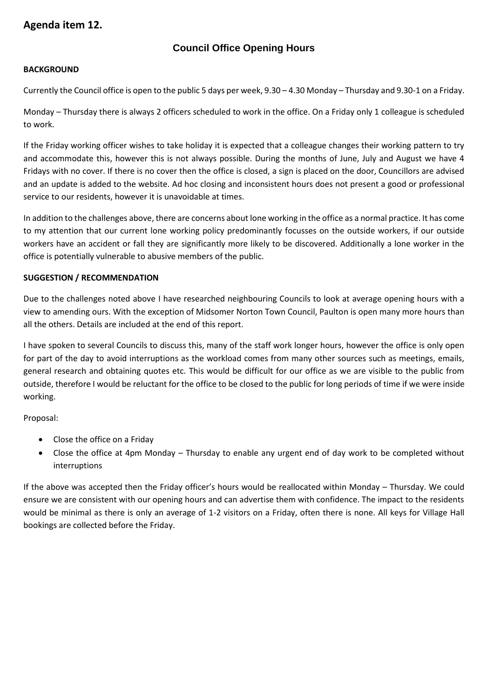## **Agenda item 12.**

#### **Council Office Opening Hours**

#### **BACKGROUND**

Currently the Council office is open to the public 5 days per week, 9.30 – 4.30 Monday – Thursday and 9.30-1 on a Friday.

Monday – Thursday there is always 2 officers scheduled to work in the office. On a Friday only 1 colleague is scheduled to work.

If the Friday working officer wishes to take holiday it is expected that a colleague changes their working pattern to try and accommodate this, however this is not always possible. During the months of June, July and August we have 4 Fridays with no cover. If there is no cover then the office is closed, a sign is placed on the door, Councillors are advised and an update is added to the website. Ad hoc closing and inconsistent hours does not present a good or professional service to our residents, however it is unavoidable at times.

In addition to the challenges above, there are concerns about lone working in the office as a normal practice. It has come to my attention that our current lone working policy predominantly focusses on the outside workers, if our outside workers have an accident or fall they are significantly more likely to be discovered. Additionally a lone worker in the office is potentially vulnerable to abusive members of the public.

#### **SUGGESTION / RECOMMENDATION**

Due to the challenges noted above I have researched neighbouring Councils to look at average opening hours with a view to amending ours. With the exception of Midsomer Norton Town Council, Paulton is open many more hours than all the others. Details are included at the end of this report.

I have spoken to several Councils to discuss this, many of the staff work longer hours, however the office is only open for part of the day to avoid interruptions as the workload comes from many other sources such as meetings, emails, general research and obtaining quotes etc. This would be difficult for our office as we are visible to the public from outside, therefore I would be reluctant for the office to be closed to the public for long periods of time if we were inside working.

Proposal:

- Close the office on a Friday
- Close the office at 4pm Monday Thursday to enable any urgent end of day work to be completed without interruptions

If the above was accepted then the Friday officer's hours would be reallocated within Monday – Thursday. We could ensure we are consistent with our opening hours and can advertise them with confidence. The impact to the residents would be minimal as there is only an average of 1-2 visitors on a Friday, often there is none. All keys for Village Hall bookings are collected before the Friday.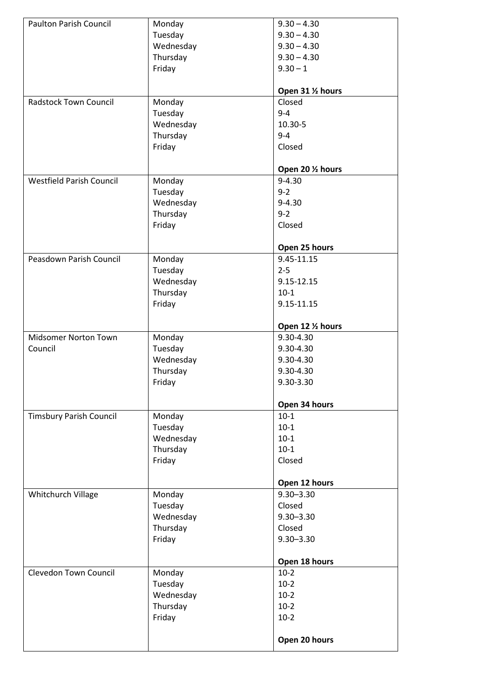| <b>Paulton Parish Council</b>   | Monday    | $9.30 - 4.30$     |
|---------------------------------|-----------|-------------------|
|                                 | Tuesday   | $9.30 - 4.30$     |
|                                 | Wednesday | $9.30 - 4.30$     |
|                                 | Thursday  | $9.30 - 4.30$     |
|                                 | Friday    | $9.30 - 1$        |
|                                 |           |                   |
|                                 |           | Open 31 1/2 hours |
| <b>Radstock Town Council</b>    | Monday    | Closed            |
|                                 | Tuesday   | $9 - 4$           |
|                                 | Wednesday | 10.30-5           |
|                                 | Thursday  | $9 - 4$           |
|                                 | Friday    | Closed            |
|                                 |           |                   |
|                                 |           | Open 20 1/2 hours |
| <b>Westfield Parish Council</b> | Monday    | $9 - 4.30$        |
|                                 | Tuesday   | $9 - 2$           |
|                                 | Wednesday | $9 - 4.30$        |
|                                 | Thursday  | $9 - 2$           |
|                                 | Friday    | Closed            |
|                                 |           |                   |
|                                 |           | Open 25 hours     |
| Peasdown Parish Council         | Monday    | 9.45-11.15        |
|                                 | Tuesday   | $2 - 5$           |
|                                 | Wednesday | 9.15-12.15        |
|                                 | Thursday  | $10-1$            |
|                                 | Friday    | 9.15-11.15        |
|                                 |           |                   |
|                                 |           | Open 12 1/2 hours |
| <b>Midsomer Norton Town</b>     | Monday    | 9.30-4.30         |
| Council                         | Tuesday   | 9.30-4.30         |
|                                 | Wednesday | 9.30-4.30         |
|                                 | Thursday  | 9.30-4.30         |
|                                 | Friday    | 9.30-3.30         |
|                                 |           | Open 34 hours     |
| <b>Timsbury Parish Council</b>  | Monday    | $10-1$            |
|                                 | Tuesday   | $10-1$            |
|                                 | Wednesday | $10-1$            |
|                                 | Thursday  | $10-1$            |
|                                 | Friday    | Closed            |
|                                 |           |                   |
|                                 |           | Open 12 hours     |
| Whitchurch Village              | Monday    | $9.30 - 3.30$     |
|                                 | Tuesday   | Closed            |
|                                 | Wednesday | $9.30 - 3.30$     |
|                                 | Thursday  | Closed            |
|                                 | Friday    | $9.30 - 3.30$     |
|                                 |           |                   |
|                                 |           | Open 18 hours     |
| <b>Clevedon Town Council</b>    | Monday    | $10-2$            |
|                                 | Tuesday   | $10-2$            |
|                                 | Wednesday | $10-2$            |
|                                 | Thursday  | $10-2$            |
|                                 | Friday    | $10-2$            |
|                                 |           |                   |
|                                 |           | Open 20 hours     |